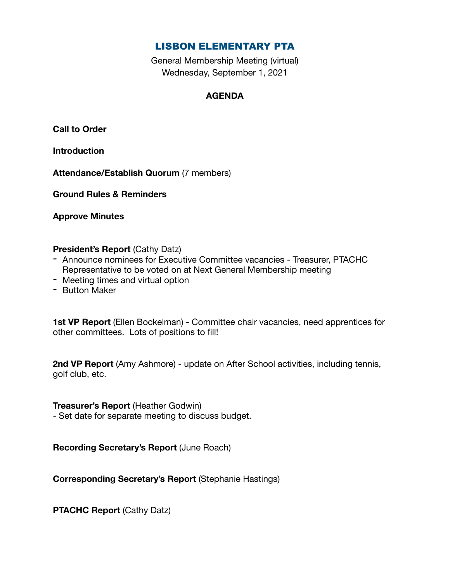# LISBON ELEMENTARY PTA

General Membership Meeting (virtual) Wednesday, September 1, 2021

# **AGENDA**

**Call to Order** 

**Introduction** 

**Attendance/Establish Quorum** (7 members)

**Ground Rules & Reminders** 

**Approve Minutes** 

## **President's Report** (Cathy Datz)

- Announce nominees for Executive Committee vacancies Treasurer, PTACHC Representative to be voted on at Next General Membership meeting
- Meeting times and virtual option
- Button Maker

**1st VP Report** (Ellen Bockelman) - Committee chair vacancies, need apprentices for other committees. Lots of positions to fill!

**2nd VP Report** (Amy Ashmore) - update on After School activities, including tennis, golf club, etc.

**Treasurer's Report** (Heather Godwin)

- Set date for separate meeting to discuss budget.

**Recording Secretary's Report** (June Roach)

**Corresponding Secretary's Report** (Stephanie Hastings)

**PTACHC Report** (Cathy Datz)